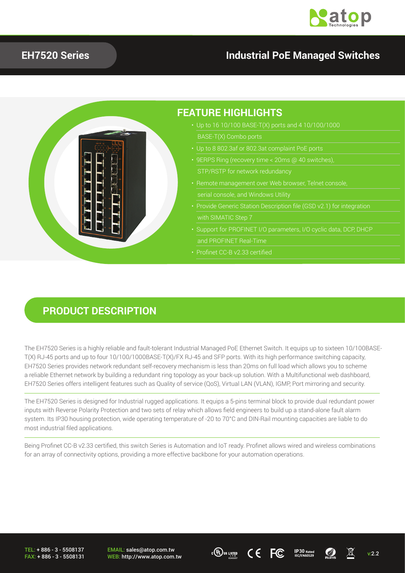

### **EH7520 Series Industrial PoE Managed Switches**



#### **PRODUCT DESCRIPTION**

The EH7520 Series is a highly reliable and fault-tolerant Industrial Managed PoE Ethernet Switch. It equips up to sixteen 10/100BASE-T(X) RJ-45 ports and up to four 10/100/1000BASE-T(X)/FX RJ-45 and SFP ports. With its high performance switching capacity, EH7520 Series provides network redundant self-recovery mechanism is less than 20ms on full load which allows you to scheme a reliable Ethernet network by building a redundant ring topology as your back-up solution. With a Multifunctional web dashboard, EH7520 Series offers intelligent features such as Quality of service (QoS), Virtual LAN (VLAN), IGMP, Port mirroring and security.

The EH7520 Series is designed for Industrial rugged applications. It equips a 5-pins terminal block to provide dual redundant power inputs with Reverse Polarity Protection and two sets of relay which allows field engineers to build up a stand-alone fault alarm system. Its IP30 housing protection, wide operating temperature of -20 to 70°C and DIN-Rail mounting capacities are liable to do most industrial filed applications.

Being Profinet CC-B v2.33 certified, this switch Series is Automation and IoT ready. Profinet allows wired and wireless combinations for an array of connectivity options, providing a more effective backbone for your automation operations.

TEL: + 886 - 3 - 5508137 FAX: + 886 - 3 - 5508131

EMAIL: sales@atop.com.tw EMAIL: sales@atop.com.tw **30 ICH COMAIL:** sales@atop.com.tw **v:2.2 ICH COMAIL:** Sales **ICAL COMAIL:**  $\sum_{\text{EC/EN60529}}$  **ICALL:**  $\sum_{\text{ROHS}}$  v:2.2



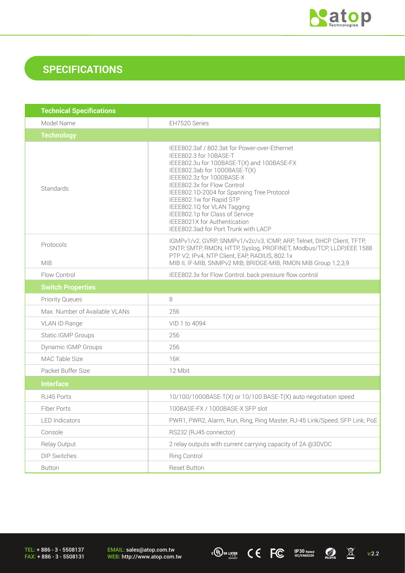

## **SPECIFICATIONS**

| <b>Technical Specifications</b> |                                                                                                                                                                                                                                                                                                                                                                                                                                        |
|---------------------------------|----------------------------------------------------------------------------------------------------------------------------------------------------------------------------------------------------------------------------------------------------------------------------------------------------------------------------------------------------------------------------------------------------------------------------------------|
| Model Name                      | EH7520 Series                                                                                                                                                                                                                                                                                                                                                                                                                          |
| <b>Technology</b>               |                                                                                                                                                                                                                                                                                                                                                                                                                                        |
| Standards                       | IEEE802.3af / 802.3at for Power-over-Ethernet<br>IEEE802.3 for 10BASE-T<br>IEEE802.3u for 100BASE-T(X) and 100BASE-FX<br>IEEE802.3ab for 1000BASE-T(X)<br>IEEE802.3z for 1000BASE-X<br>IEEE802.3x for Flow Control<br>IEEE802.1D-2004 for Spanning Tree Protocol<br>IEEE802.1w for Rapid STP<br>IEEE802.1Q for VLAN Tagging<br>IEEE802.1p for Class of Service<br>IEEE8021X for Authentication<br>IEEE802.3ad for Port Trunk with LACP |
| Protocols<br><b>MIB</b>         | IGMPv1/v2, GVRP, SNMPv1/v2c/v3, ICMP, ARP, Telnet, DHCP Client, TFTP,<br>SNTP, SMTP, RMON, HTTP, Syslog, PROFINET, Modbus/TCP, LLDP,IEEE 1588<br>PTP V2, IPv4, NTP Client, EAP, RADIUS, 802.1x<br>MIB II, IF-MIB, SNMPv2 MIB, BRIDGE-MIB, RMON MIB Group 1,2,3,9                                                                                                                                                                       |
| Flow Control                    | IEEE802.3x for Flow Control, back pressure flow control                                                                                                                                                                                                                                                                                                                                                                                |
| <b>Switch Properties</b>        |                                                                                                                                                                                                                                                                                                                                                                                                                                        |
| <b>Priority Queues</b>          | 8                                                                                                                                                                                                                                                                                                                                                                                                                                      |
| Max. Number of Available VLANs  | 256                                                                                                                                                                                                                                                                                                                                                                                                                                    |
| VLAN ID Range                   | VID 1 to 4094                                                                                                                                                                                                                                                                                                                                                                                                                          |
| Static IGMP Groups              | 256                                                                                                                                                                                                                                                                                                                                                                                                                                    |
| <b>Dynamic IGMP Groups</b>      | 256                                                                                                                                                                                                                                                                                                                                                                                                                                    |
| MAC Table Size                  | 16K                                                                                                                                                                                                                                                                                                                                                                                                                                    |
| Packet Buffer Size              | 12 Mbit                                                                                                                                                                                                                                                                                                                                                                                                                                |
| <b>Interface</b>                |                                                                                                                                                                                                                                                                                                                                                                                                                                        |
| RJ45 Ports                      | 10/100/1000BASE-T(X) or 10/100 BASE-T(X) auto negotiation speed                                                                                                                                                                                                                                                                                                                                                                        |
| Fiber Ports                     | 100BASE-FX / 1000BASE-X SFP slot                                                                                                                                                                                                                                                                                                                                                                                                       |
| <b>LED</b> Indicators           | PWR1, PWR2, Alarm, Run, Ring, Ring Master, RJ-45 Link/Speed, SFP Link, PoE                                                                                                                                                                                                                                                                                                                                                             |
| Console                         | RS232 (RJ45 connector)                                                                                                                                                                                                                                                                                                                                                                                                                 |
| Relay Output                    | 2 relay outputs with current carrying capacity of 2A @30VDC                                                                                                                                                                                                                                                                                                                                                                            |
| DIP Switches                    | <b>Ring Control</b>                                                                                                                                                                                                                                                                                                                                                                                                                    |
| <b>Button</b>                   | Reset Button                                                                                                                                                                                                                                                                                                                                                                                                                           |

TEL: + 886 - 3 - 5508137 FAX: + 886 - 3 - 5508131 EMAIL: sales@atop.com.tw<br>WEB: http://www.atop.com.tw **WEB: http://www.atop.com.tw** v:2.2 **3 ICC ICC ICO ICO ICO ICO ICO ICO ICO ICO ICO ICO ICO ICO ICO ICO ICO ICO ICO ICO ICO ICO ICO ICO ICO ICO ICO ICO ICO ICO I** 

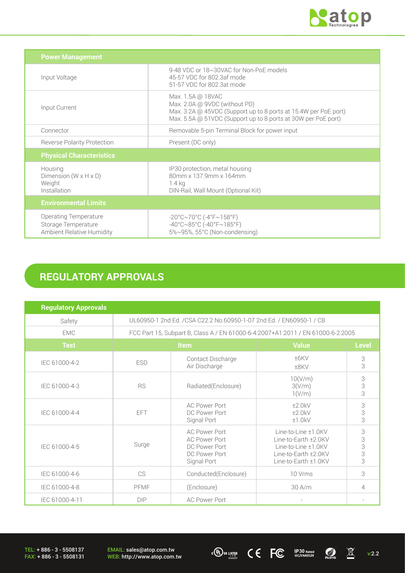

| <b>Power Management</b>                                                          |                                                                                                                                                                                        |
|----------------------------------------------------------------------------------|----------------------------------------------------------------------------------------------------------------------------------------------------------------------------------------|
| Input Voltage                                                                    | 9-48 VDC or 18~30VAC for Non-PoE models<br>45-57 VDC for 802.3af mode<br>51-57 VDC for 802.3at mode                                                                                    |
| Input Current                                                                    | Max. 1.5A @ 18VAC<br>Max. 2.0A @ 9VDC (without PD)<br>Max. 3.2A @ 45VDC (Support up to 8 ports at 15.4W per PoE port)<br>Max. 5.5A @ 51VDC (Support up to 8 ports at 30W per PoE port) |
| Connector                                                                        | Removable 5-pin Terminal Block for power input                                                                                                                                         |
| <b>Reverse Polarity Protection</b>                                               | Present (DC only)                                                                                                                                                                      |
| <b>Physical Characteristics</b>                                                  |                                                                                                                                                                                        |
| Housing<br>Dimension $(W \times H \times D)$<br>Weight<br>Installation           | IP30 protection, metal housing<br>80mm x 137.9mm x 164mm<br>1.4 kg<br>DIN-Rail, Wall Mount (Optional Kit)                                                                              |
| <b>Environmental Limits</b>                                                      |                                                                                                                                                                                        |
| <b>Operating Temperature</b><br>Storage Temperature<br>Ambient Relative Humidity | $-20^{\circ}$ C $\sim$ 70°C (-4°F $\sim$ 158°F)<br>$-40^{\circ}$ C $\sim$ 85°C (-40°F $\sim$ 185°F)<br>5%~95%, 55°C (Non-condensing)                                                   |

# **REGULATORY APPROVALS**

| <b>Regulatory Approvals</b> |                                                                                 |                                                                                        |                                                                                                                    |                         |
|-----------------------------|---------------------------------------------------------------------------------|----------------------------------------------------------------------------------------|--------------------------------------------------------------------------------------------------------------------|-------------------------|
| Safety                      | UL60950-1 2nd Ed. /CSA C22.2 No.60950-1-07 2nd Ed. / EN60950-1 / CB             |                                                                                        |                                                                                                                    |                         |
| <b>EMC</b>                  | FCC Part 15, Subpart B, Class A / EN 61000-6-4:2007+A1:2011 / EN 61000-6-2:2005 |                                                                                        |                                                                                                                    |                         |
| <b>Test</b>                 | Item                                                                            |                                                                                        | <b>Value</b>                                                                                                       | <b>Level</b>            |
| IEC 61000-4-2               | <b>ESD</b>                                                                      | Contact Discharge<br>Air Discharge                                                     | ±6KV<br>±8KV                                                                                                       | 3<br>3                  |
| IEC 61000-4-3               | <b>RS</b>                                                                       | Radiated(Enclosure)                                                                    | 10(V/m)<br>3(V/m)<br>1(V/m)                                                                                        | 3<br>3<br>3             |
| IEC 61000-4-4               | FFT                                                                             | <b>AC Power Port</b><br>DC Power Port<br>Signal Port                                   | ±2.0kV<br>±2.0kV<br>±1.0kV                                                                                         | 3<br>3<br>3             |
| IEC 61000-4-5               | Surge                                                                           | AC Power Port<br><b>AC Power Port</b><br>DC Power Port<br>DC Power Port<br>Signal Port | Line-to-Line ±1.0KV<br>Line-to-Earth ±2.0KV<br>Line-to-Line ±1.0KV<br>Line-to-Earth ±2.0KV<br>Line-to-Earth ±1.0KV | 3<br>3<br>$\frac{3}{3}$ |
| IEC 61000-4-6               | CS                                                                              | Conducted(Enclosure)                                                                   | 10 Vrms                                                                                                            | 3                       |
| IEC 61000-4-8               | PFMF                                                                            | (Enclosure)                                                                            | $30$ A/m                                                                                                           | 4                       |
| IEC 61000-4-11              | <b>DIP</b>                                                                      | <b>AC Power Port</b>                                                                   | $\sim$                                                                                                             |                         |

EMAIL: sales@atop.com.tw<br>WEB: http://www.atop.com.tw **WEB: http://www.atop.com.tw** v:2.2 **3 ICC ICC ICO ICO ICO ICO ICO ICO ICO ICO ICO ICO ICO ICO ICO ICO ICO ICO ICO ICO ICO ICO ICO ICO ICO ICO ICO ICO ICO ICO I**